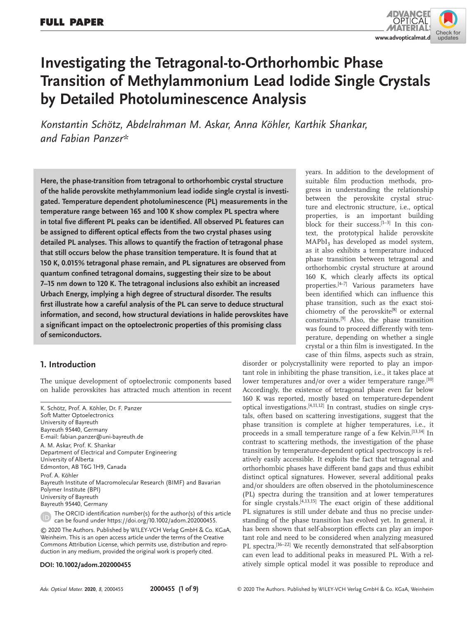

# **Investigating the Tetragonal-to-Orthorhombic Phase Transition of Methylammonium Lead Iodide Single Crystals by Detailed Photoluminescence Analysis**

*Konstantin Schötz, Abdelrahman M. Askar, Anna Köhler, Karthik Shankar, and Fabian Panzer\**

**Here, the phase-transition from tetragonal to orthorhombic crystal structure of the halide perovskite methylammonium lead iodide single crystal is investigated. Temperature dependent photoluminescence (PL) measurements in the temperature range between 165 and 100 K show complex PL spectra where in total five different PL peaks can be identified. All observed PL features can be assigned to different optical effects from the two crystal phases using detailed PL analyses. This allows to quantify the fraction of tetragonal phase that still occurs below the phase transition temperature. It is found that at 150 K, 0.015% tetragonal phase remain, and PL signatures are observed from quantum confined tetragonal domains, suggesting their size to be about 7–15 nm down to 120 K. The tetragonal inclusions also exhibit an increased Urbach Energy, implying a high degree of structural disorder. The results first illustrate how a careful analysis of the PL can serve to deduce structural information, and second, how structural deviations in halide perovskites have a significant impact on the optoelectronic properties of this promising class of semiconductors.**

## **1. Introduction**

The unique development of optoelectronic components based on halide perovskites has attracted much attention in recent

K. Schötz, Prof. A. Köhler, Dr. F. Panzer Soft Matter Optoelectronics University of Bayreuth Bayreuth 95440, Germany E-mail: fabian.panzer@uni-bayreuth.de A. M. Askar, Prof. K. Shankar Department of Electrical and Computer Engineering University of Alberta Edmonton, AB T6G 1H9, Canada Prof. A. Köhler Bayreuth Institute of Macromolecular Research (BIMF) and Bavarian Polymer Institute (BPI) University of Bayreuth Bayreuth 95440, Germany

The ORCID identification number(s) for the author(s) of this article can be found under https://doi.org/10.1002/adom.202000455.

© 2020 The Authors. Published by WILEY-VCH Verlag GmbH & Co. KGaA, Weinheim. This is an open access article under the terms of the Creative Commons Attribution License, which permits use, distribution and reproduction in any medium, provided the original work is properly cited.

#### **DOI: 10.1002/adom.202000455**

years. In addition to the development of suitable film production methods, progress in understanding the relationship between the perovskite crystal structure and electronic structure, i.e., optical properties, is an important building block for their success. $[1-3]$  In this context, the prototypical halide perovskite  $MAPbI<sub>3</sub>$  has developed as model system, as it also exhibits a temperature induced phase transition between tetragonal and orthorhombic crystal structure at around 160 K, which clearly affects its optical properties.[4–7] Various parameters have been identified which can influence this phase transition, such as the exact stoichiometry of the perovskite<sup>[8]</sup> or external constraints.[9] Also, the phase transition was found to proceed differently with temperature, depending on whether a single crystal or a thin film is investigated. In the case of thin films, aspects such as strain,

disorder or polycrystallinity were reported to play an important role in inhibiting the phase transition, i.e., it takes place at lower temperatures and/or over a wider temperature range.<sup>[10]</sup> Accordingly, the existence of tetragonal phase even far below 160 K was reported, mostly based on temperature-dependent optical investigations.<sup>[4,11,12]</sup> In contrast, studies on single crystals, often based on scattering investigations, suggest that the phase transition is complete at higher temperatures, i.e., it proceeds in a small temperature range of a few Kelvin.<sup>[13,14]</sup> In contrast to scattering methods, the investigation of the phase transition by temperature-dependent optical spectroscopy is relatively easily accessible. It exploits the fact that tetragonal and orthorhombic phases have different band gaps and thus exhibit distinct optical signatures. However, several additional peaks and/or shoulders are often observed in the photoluminescence (PL) spectra during the transition and at lower temperatures for single crystals. $[4,13,15]$  The exact origin of these additional PL signatures is still under debate and thus no precise understanding of the phase transition has evolved yet. In general, it has been shown that self-absorption effects can play an important role and need to be considered when analyzing measured PL spectra.<sup>[16-22]</sup> We recently demonstrated that self-absorption can even lead to additional peaks in measured PL. With a relatively simple optical model it was possible to reproduce and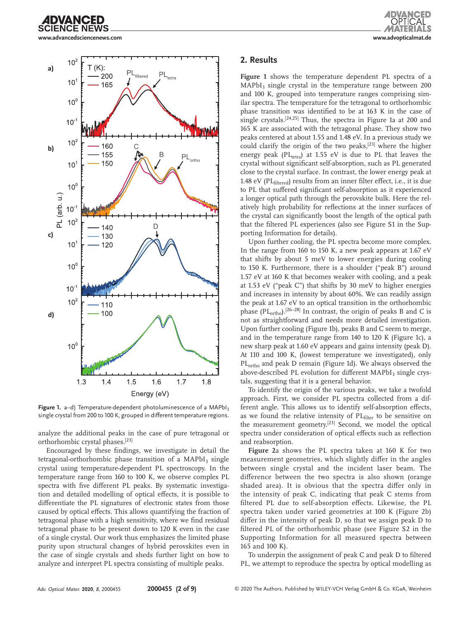



**Figure 1.** a–d) Temperature-dependent photoluminescence of a MAPbI<sub>3</sub> single crystal from 200 to 100 K, grouped in different temperature regions.

analyze the additional peaks in the case of pure tetragonal or orthorhombic crystal phases.[23]

Encouraged by these findings, we investigate in detail the tetragonal-orthorhombic phase transition of a  $MAPbI<sub>3</sub>$  single crystal using temperature-dependent PL spectroscopy. In the temperature range from 160 to 100 K, we observe complex PL spectra with five different PL peaks. By systematic investigation and detailed modelling of optical effects, it is possible to differentiate the PL signatures of electronic states from those caused by optical effects. This allows quantifying the fraction of tetragonal phase with a high sensitivity, where we find residual tetragonal phase to be present down to 120 K even in the case of a single crystal. Our work thus emphasizes the limited phase purity upon structural changes of hybrid perovskites even in the case of single crystals and sheds further light on how to analyze and interpret PL spectra consisting of multiple peaks.

#### **2. Results**

**Figure 1** shows the temperature dependent PL spectra of a  $MAPbI<sub>3</sub>$  single crystal in the temperature range between 200 and 100 K, grouped into temperature ranges comprising similar spectra. The temperature for the tetragonal to orthorhombic phase transition was identified to be at 163 K in the case of single crystals.[24,25] Thus, the spectra in Figure 1a at 200 and 165 K are associated with the tetragonal phase. They show two peaks centered at about 1.55 and 1.48 eV. In a previous study we could clarify the origin of the two peaks, $[23]$  where the higher energy peak (PL<sub>tetra</sub>) at 1.55 eV is due to PL that leaves the crystal without significant self-absorption, such as PL generated close to the crystal surface. In contrast, the lower energy peak at 1.48 eV ( $PL_{\text{filtered}}$ ) results from an inner filter effect, i.e., it is due to PL that suffered significant self-absorption as it experienced a longer optical path through the perovskite bulk. Here the relatively high probability for reflections at the inner surfaces of the crystal can significantly boost the length of the optical path that the filtered PL experiences (also see Figure S1 in the Supporting Information for details).

Upon further cooling, the PL spectra become more complex. In the range from 160 to 150 K, a new peak appears at 1.67 eV that shifts by about 5 meV to lower energies during cooling to 150 K. Furthermore, there is a shoulder ("peak B") around 1.57 eV at 160 K that becomes weaker with cooling, and a peak at 1.53 eV ("peak C") that shifts by 30 meV to higher energies and increases in intensity by about 60%. We can readily assign the peak at 1.67 eV to an optical transition in the orthorhombic phase (PL<sub>ortho</sub>).<sup>[26–28]</sup> In contrast, the origin of peaks B and C is not as straightforward and needs more detailed investigation. Upon further cooling (Figure 1b), peaks B and C seem to merge, and in the temperature range from 140 to 120 K (Figure 1c), a new sharp peak at 1.60 eV appears and gains intensity (peak D). At 110 and 100 K, (lowest temperature we investigated), only PL<sub>ortho</sub> and peak D remain (Figure 1d). We always observed the above-described PL evolution for different MAPbI<sub>3</sub> single crystals, suggesting that it is a general behavior.

To identify the origin of the various peaks, we take a twofold approach. First, we consider PL spectra collected from a different angle. This allows us to identify self-absorption effects, as we found the relative intensity of PL<sub>filter</sub> to be sensitive on the measurement geometry.<sup>[23]</sup> Second, we model the optical spectra under consideration of optical effects such as reflection and reabsorption.

**Figure 2**a shows the PL spectra taken at 160 K for two measurement geometries, which slightly differ in the angles between single crystal and the incident laser beam. The difference between the two spectra is also shown (orange shaded area). It is obvious that the spectra differ only in the intensity of peak C, indicating that peak C stems from filtered PL due to self-absorption effects. Likewise, the PL spectra taken under varied geometries at 100 K (Figure 2b) differ in the intensity of peak D, so that we assign peak D to filtered PL of the orthorhombic phase (see Figure S2 in the Supporting Information for all measured spectra between 165 and 100 K).

To underpin the assignment of peak C and peak D to filtered PL, we attempt to reproduce the spectra by optical modelling as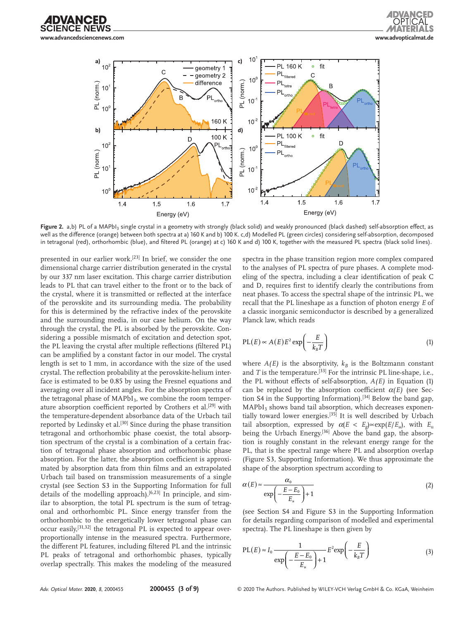



Figure 2. a,b) PL of a MAPbI<sub>3</sub> single crystal in a geometry with strongly (black solid) and weakly pronounced (black dashed) self-absorption effect, as well as the difference (orange) between both spectra at a) 160 K and b) 100 K. c,d) Modelled PL (green circles) considering self-absorption, decomposed in tetragonal (red), orthorhombic (blue), and filtered PL (orange) at c) 160 K and d) 100 K, together with the measured PL spectra (black solid lines).

presented in our earlier work.<sup>[23]</sup> In brief, we consider the one dimensional charge carrier distribution generated in the crystal by our 337 nm laser excitation. This charge carrier distribution leads to PL that can travel either to the front or to the back of the crystal, where it is transmitted or reflected at the interface of the perovskite and its surrounding media. The probability for this is determined by the refractive index of the perovskite and the surrounding media, in our case helium. On the way through the crystal, the PL is absorbed by the perovskite. Considering a possible mismatch of excitation and detection spot, the PL leaving the crystal after multiple reflections (filtered PL) can be amplified by a constant factor in our model. The crystal length is set to 1 mm, in accordance with the size of the used crystal. The reflection probability at the perovskite-helium interface is estimated to be 0.85 by using the Fresnel equations and averaging over all incident angles. For the absorption spectra of the tetragonal phase of  $MAPbI<sub>3</sub>$ , we combine the room temperature absorption coefficient reported by Crothers et al.<sup>[29]</sup> with the temperature-dependent absorbance data of the Urbach tail reported by Ledinsky et al.<sup>[30]</sup> Since during the phase transition tetragonal and orthorhombic phase coexist, the total absorption spectrum of the crystal is a combination of a certain fraction of tetragonal phase absorption and orthorhombic phase absorption. For the latter, the absorption coefficient is approximated by absorption data from thin films and an extrapolated Urbach tail based on transmission measurements of a single crystal (see Section S3 in the Supporting Information for full details of the modelling approach).<sup>[6,23]</sup> In principle, and similar to absorption, the total PL spectrum is the sum of tetragonal and orthorhombic PL. Since energy transfer from the orthorhombic to the energetically lower tetragonal phase can occur easily,<sup>[31,32]</sup> the tetragonal PL is expected to appear overproportionally intense in the measured spectra. Furthermore, the different PL features, including filtered PL and the intrinsic PL peaks of tetragonal and orthorhombic phases, typically overlap spectrally. This makes the modeling of the measured

spectra in the phase transition region more complex compared to the analyses of PL spectra of pure phases. A complete modeling of the spectra, including a clear identification of peak C and D, requires first to identify clearly the contributions from neat phases. To access the spectral shape of the intrinsic PL, we recall that the PL lineshape as a function of photon energy *E* of a classic inorganic semiconductor is described by a generalized Planck law, which reads

$$
PL(E) \propto A(E) E^2 \exp\left(-\frac{E}{k_B T}\right) \tag{1}
$$

where  $A(E)$  is the absorptivity,  $k_B$  is the Boltzmann constant and  $T$  is the temperature.<sup>[33]</sup> For the intrinsic PL line-shape, i.e., the PL without effects of self-absorption, *A(E)* in Equation (1) can be replaced by the absorption coefficient  $\alpha(E)$  (see Section S4 in the Supporting Information).<sup>[34]</sup> Below the band gap,  $MAPbI<sub>3</sub>$  shows band tail absorption, which decreases exponentially toward lower energies.<sup>[35]</sup> It is well described by Urbach tail absorption, expressed by  $\alpha(E < E_{\rho}) \propto \exp(E/E_{u})$ , with  $E_{u}$ being the Urbach Energy.<sup>[36]</sup> Above the band gap, the absorption is roughly constant in the relevant energy range for the PL, that is the spectral range where PL and absorption overlap (Figure S3, Supporting Information). We thus approximate the shape of the absorption spectrum according to

$$
\alpha(E) \approx \frac{\alpha_0}{\exp\left(-\frac{E - E_0}{E_u}\right) + 1} \tag{2}
$$

(see Section S4 and Figure S3 in the Supporting Information for details regarding comparison of modelled and experimental spectra). The PL lineshape is then given by

$$
PL(E) \approx I_0 \frac{1}{\exp\left(-\frac{E - E_0}{E_u}\right) + 1} E^2 \exp\left(-\frac{E}{k_B T}\right)
$$
(3)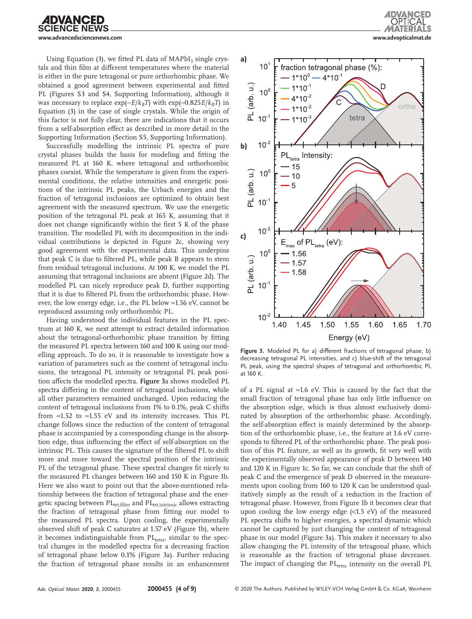

Using Equation (3), we fitted PL data of  $MAPbI<sub>3</sub>$  single crystals and thin film at different temperatures where the material is either in the pure tetragonal or pure orthorhombic phase. We obtained a good agreement between experimental and fitted PL (Figures S3 and S4, Supporting Information), although it was necessary to replace  $\exp(-E/k_BT)$  with  $\exp(-0.825E/k_BT)$  in Equation (3) in the case of single crystals. While the origin of this factor is not fully clear, there are indications that it occurs from a self-absorption effect as described in more detail in the Supporting Information (Section S5, Supporting Information).

Successfully modelling the intrinsic PL spectra of pure crystal phases builds the basis for modeling and fitting the measured PL at 160 K, where tetragonal and orthorhombic phases coexist. While the temperature is given from the experimental conditions, the relative intensities and energetic positions of the intrinsic PL peaks, the Urbach energies and the fraction of tetragonal inclusions are optimized to obtain best agreement with the measured spectrum. We use the energetic position of the tetragonal PL peak at 165 K, assuming that it does not change significantly within the first 5 K of the phase transition. The modelled PL with its decomposition in the individual contributions is depicted in Figure 2c, showing very good agreement with the experimental data. This underpins that peak C is due to filtered PL, while peak B appears to stem from residual tetragonal inclusions. At 100 K, we model the PL assuming that tetragonal inclusions are absent (Figure 2d). The modelled PL can nicely reproduce peak D, further supporting that it is due to filtered PL from the orthorhombic phase. However, the low energy edge, i.e., the PL below ≈1.56 eV, cannot be reproduced assuming only orthorhombic PL.

Having understood the individual features in the PL spectrum at 160 K, we next attempt to extract detailed information about the tetragonal-orthorhombic phase transition by fitting the measured PL spectra between 160 and 100 K using our modelling approach. To do so, it is reasonable to investigate how a variation of parameters such as the content of tetragonal inclusions, the tetragonal PL intensity or tetragonal PL peak position affects the modelled spectra. **Figure 3**a shows modelled PL spectra differing in the content of tetragonal inclusions, while all other parameters remained unchanged. Upon reducing the content of tetragonal inclusions from 1% to 0.1%, peak C shifts from ≈1.52 to ≈1.55 eV and its intensity increases. This PL change follows since the reduction of the content of tetragonal phase is accompanied by a corresponding change in the absorption edge, thus influencing the effect of self-absorption on the intrinsic PL. This causes the signature of the filtered PL to shift more and more toward the spectral position of the intrinsic PL of the tetragonal phase. These spectral changes fit nicely to the measured PL changes between 160 and 150 K in Figure 1b. Here we also want to point out that the above-mentioned relationship between the fraction of tetragonal phase and the energetic spacing between PL<sub>tet,filter</sub> and PL<sub>tet,intrinsic</sub> allows extracting the fraction of tetragonal phase from fitting our model to the measured PL spectra. Upon cooling, the experimentally observed shift of peak C saturates at 1.57 eV (Figure 1b), where it becomes indistinguishable from  $PL_{tetra}$ , similar to the spectral changes in the modelled spectra for a decreasing fraction of tetragonal phase below 0.1% (Figure 3a). Further reducing the fraction of tetragonal phase results in an enhancement





**Figure 3.** Modeled PL for a) different fractions of tetragonal phase, b) decreasing tetragonal PL intensities, and c) blue-shift of the tetragonal PL peak, using the spectral shapes of tetragonal and orthorhombic PL at 160 K.

of a PL signal at ≈1.6 eV. This is caused by the fact that the small fraction of tetragonal phase has only little influence on the absorption edge, which is thus almost exclusively dominated by absorption of the orthorhombic phase. Accordingly, the self-absorption effect is mainly determined by the absorption of the orthorhombic phase, i.e., the feature at 1.6 eV corresponds to filtered PL of the orthorhombic phase. The peak position of this PL feature, as well as its growth, fit very well with the experimentally observed appearance of peak D between 140 and 120 K in Figure 1c. So far, we can conclude that the shift of peak C and the emergence of peak D observed in the measurements upon cooling from 160 to 120 K can be understood qualitatively simply as the result of a reduction in the fraction of tetragonal phase. However, from Figure 1b it becomes clear that upon cooling the low energy edge (<1.5 eV) of the measured PL spectra shifts to higher energies, a spectral dynamic which cannot be captured by just changing the content of tetragonal phase in our model (Figure 3a). This makes it necessary to also allow changing the PL intensity of the tetragonal phase, which is reasonable as the fraction of tetragonal phase decreases. The impact of changing the  $PL_{tetra}$  intensity on the overall PL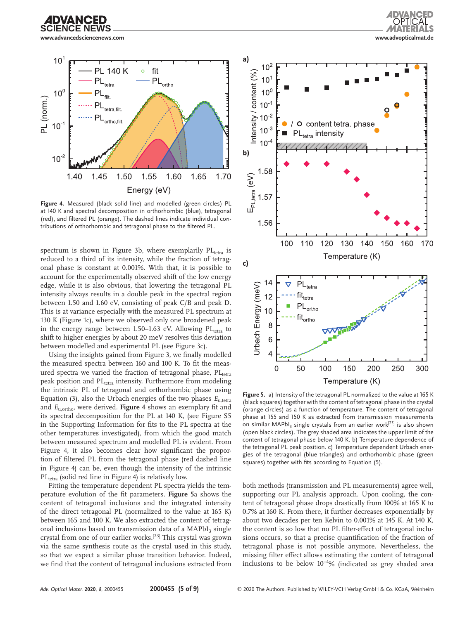



**Figure 4.** Measured (black solid line) and modelled (green circles) PL at 140 K and spectral decomposition in orthorhombic (blue), tetragonal (red), and filtered PL (orange). The dashed lines indicate individual contributions of orthorhombic and tetragonal phase to the filtered PL.

spectrum is shown in Figure 3b, where exemplarily  $PL_{tetra}$  is reduced to a third of its intensity, while the fraction of tetragonal phase is constant at 0.001%. With that, it is possible to account for the experimentally observed shift of the low energy edge, while it is also obvious, that lowering the tetragonal PL intensity always results in a double peak in the spectral region between 1.50 and 1.60 eV, consisting of peak C/B and peak D. This is at variance especially with the measured PL spectrum at 130 K (Figure 1c), where we observed only one broadened peak in the energy range between 1.50–1.63 eV. Allowing  $PL_{tetra}$  to shift to higher energies by about 20 meV resolves this deviation between modelled and experimental PL (see Figure 3c).

Using the insights gained from Figure 3, we finally modelled the measured spectra between 160 and 100 K. To fit the measured spectra we varied the fraction of tetragonal phase,  $PL_{tetra}$ peak position and PL<sub>tetra</sub> intensity. Furthermore from modeling the intrinsic PL of tetragonal and orthorhombic phase using Equation (3), also the Urbach energies of the two phases  $E_{u,\text{tetra}}$ and *E*u,ortho, were derived. **Figure 4** shows an exemplary fit and its spectral decomposition for the PL at 140 K, (see Figure S5 in the Supporting Information for fits to the PL spectra at the other temperatures investigated), from which the good match between measured spectrum and modelled PL is evident. From Figure 4, it also becomes clear how significant the proportion of filtered PL from the tetragonal phase (red dashed line in Figure 4) can be, even though the intensity of the intrinsic  $PL_{tetra}$  (solid red line in Figure 4) is relatively low.

Fitting the temperature dependent PL spectra yields the temperature evolution of the fit parameters. **Figure 5**a shows the content of tetragonal inclusions and the integrated intensity of the direct tetragonal PL (normalized to the value at 165 K) between 165 and 100 K. We also extracted the content of tetragonal inclusions based on transmission data of a MAPbI<sub>3</sub> single crystal from one of our earlier works.[23] This crystal was grown via the same synthesis route as the crystal used in this study, so that we expect a similar phase transition behavior. Indeed, we find that the content of tetragonal inclusions extracted from



**Figure 5.** a) Intensity of the tetragonal PL normalized to the value at 165 K (black squares) together with the content of tetragonal phase in the crystal (orange circles) as a function of temperature. The content of tetragonal phase at 155 and 150 K as extracted from transmission measurements on similar MAPbI<sub>3</sub> single crystals from an earlier work<sup>[23]</sup> is also shown (open black circles). The grey shaded area indicates the upper limit of the content of tetragonal phase below 140 K. b) Temperature-dependence of the tetragonal PL peak position. c) Temperature dependent Urbach energies of the tetragonal (blue triangles) and orthorhombic phase (green squares) together with fits according to Equation (5).

both methods (transmission and PL measurements) agree well, supporting our PL analysis approach. Upon cooling, the content of tetragonal phase drops drastically from 100% at 165 K to 0.7% at 160 K. From there, it further decreases exponentially by about two decades per ten Kelvin to 0.001% at 145 K. At 140 K, the content is so low that no PL filter-effect of tetragonal inclusions occurs, so that a precise quantification of the fraction of tetragonal phase is not possible anymore. Nevertheless, the missing filter effect allows estimating the content of tetragonal inclusions to be below 10−<sup>4</sup> % (indicated as grey shaded area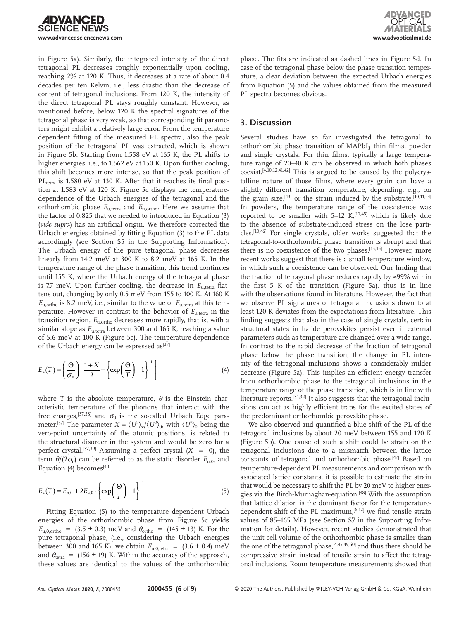

in Figure 5a). Similarly, the integrated intensity of the direct tetragonal PL decreases roughly exponentially upon cooling, reaching 2% at 120 K. Thus, it decreases at a rate of about 0.4 decades per ten Kelvin, i.e., less drastic than the decrease of content of tetragonal inclusions. From 120 K, the intensity of the direct tetragonal PL stays roughly constant. However, as mentioned before, below 120 K the spectral signatures of the tetragonal phase is very weak, so that corresponding fit parameters might exhibit a relatively large error. From the temperature dependent fitting of the measured PL spectra, also the peak position of the tetragonal PL was extracted, which is shown in Figure 5b. Starting from 1.558 eV at 165 K, the PL shifts to higher energies, i.e., to 1.562 eV at 150 K. Upon further cooling, this shift becomes more intense, so that the peak position of  $PL_{\text{tetra}}$  is 1.580 eV at 130 K. After that it reaches its final position at 1.583 eV at 120 K. Figure 5c displays the temperaturedependence of the Urbach energies of the tetragonal and the orthorhombic phase  $E_{\text{u.tetra}}$  and  $E_{\text{u.ortho}}$ . Here we assume that the factor of 0.825 that we needed to introduced in Equation (3) (*vide supra*) has an artificial origin. We therefore corrected the Urbach energies obtained by fitting Equation (3) to the PL data accordingly (see Section S5 in the Supporting Information). The Urbach energy of the pure tetragonal phase decreases linearly from 14.2 meV at 300 K to 8.2 meV at 165 K. In the temperature range of the phase transition, this trend continues until 155 K, where the Urbach energy of the tetragonal phase is 7.7 meV. Upon further cooling, the decrease in *E*<sub>u,tetra</sub> flattens out, changing by only 0.5 meV from 155 to 100 K. At 160 K  $E_{\text{u}, \text{ortho}}$  is 8.2 meV, i.e., similar to the value of  $E_{\text{u}, \text{tetra}}$  at this temperature. However in contrast to the behavior of  $E_{\text{u,tetra}}$  in the transition region, *E*u,ortho decreases more rapidly, that is, with a similar slope as  $E_{u,\text{tetra}}$  between 300 and 165 K, reaching a value of 5.6 meV at 100 K (Figure 5c). The temperature-dependence of the Urbach energy can be expressed as $[37]$ 

$$
E_u(T) = \left(\frac{\Theta}{\sigma_0}\right) \left[\frac{1+X}{2} + \left\{\exp\left(\frac{\Theta}{T}\right) - 1\right\}^{-1}\right]
$$
(4)

where *T* is the absolute temperature,  $\theta$  is the Einstein characteristic temperature of the phonons that interact with the free charges,<sup>[37,38]</sup> and  $\sigma_0$  is the so-called Urbach Edge parameter.<sup>[37]</sup> The parameter  $X = \langle U^2 \rangle_x / \langle U^2 \rangle_0$ , with  $\langle U^2 \rangle_0$  being the zero-point uncertainty of the atomic positions, is related to the structural disorder in the system and would be zero for a perfect crystal.<sup>[37,39]</sup> Assuming a perfect crystal  $(X = 0)$ , the term  $\theta$ /(2 $\sigma$ <sub>0</sub>) can be referred to as the static disorder  $E$ <sub>u,0</sub>, and Equation (4) becomes $[40]$ 

$$
E_{u}(T) = E_{u,0} + 2E_{u,0} \cdot \left\{ \exp\left(\frac{\Theta}{T}\right) - 1 \right\}^{-1}
$$
 (5)

Fitting Equation (5) to the temperature dependent Urbach energies of the orthorhombic phase from Figure 5c yields  $E_{u,0,\text{ortho}}$  = (3.5 ± 0.3) meV and  $\theta_{\text{ortho}}$  = (145 ± 13) K. For the pure tetragonal phase, (i.e., considering the Urbach energies between 300 and 165 K), we obtain  $E_{u,0,\text{tetra}} = (3.6 \pm 0.4) \text{ meV}$ and  $\theta_{\text{tetra}} = (156 \pm 19)$  K. Within the accuracy of the approach, these values are identical to the values of the orthorhombic

phase. The fits are indicated as dashed lines in Figure 5d. In case of the tetragonal phase below the phase transition temperature, a clear deviation between the expected Urbach energies from Equation (5) and the values obtained from the measured PL spectra becomes obvious.

#### **3. Discussion**

Several studies have so far investigated the tetragonal to orthorhombic phase transition of  $MAPbI<sub>3</sub>$  thin films, powder and single crystals. For thin films, typically a large temperature range of 20–40 K can be observed in which both phases  $coexist.$ <sup>[4,10,12,41,42]</sup> This is argued to be caused by the polycrystalline nature of those films, where every grain can have a slightly different transition temperature, depending, e.g., on the grain size,<sup>[43]</sup> or the strain induced by the substrate.<sup>[10,11,44]</sup> In powders, the temperature range of the coexistence was reported to be smaller with  $5-12$  K,<sup>[10,45]</sup> which is likely due to the absence of substrate-induced stress on the lose particles.[10,46] For single crystals, older works suggested that the tetragonal-to-orthorhombic phase transition is abrupt and that there is no coexistence of the two phases.<sup>[13,15]</sup> However, more recent works suggest that there is a small temperature window, in which such a coexistence can be observed. Our finding that the fraction of tetragonal phase reduces rapidly by ≈99% within the first 5 K of the transition (Figure 5a), thus is in line with the observations found in literature. However, the fact that we observe PL signatures of tetragonal inclusions down to at least 120 K deviates from the expectations from literature. This finding suggests that also in the case of single crystals, certain structural states in halide perovskites persist even if external parameters such as temperature are changed over a wide range. In contrast to the rapid decrease of the fraction of tetragonal phase below the phase transition, the change in PL intensity of the tetragonal inclusions shows a considerably milder decrease (Figure 5a). This implies an efficient energy transfer from orthorhombic phase to the tetragonal inclusions in the temperature range of the phase transition, which is in line with literature reports.<sup>[31,32]</sup> It also suggests that the tetragonal inclusions can act as highly efficient traps for the excited states of the predominant orthorhombic perovskite phase.

We also observed and quantified a blue shift of the PL of the tetragonal inclusions by about 20 meV between 155 and 120 K (Figure 5b). One cause of such a shift could be strain on the tetragonal inclusions due to a mismatch between the lattice constants of tetragonal and orthorhombic phase.<sup>[47]</sup> Based on temperature-dependent PL measurements and comparison with associated lattice constants, it is possible to estimate the strain that would be necessary to shift the PL by 20 meV to higher energies via the Birch-Murnaghan-equation.[48] With the assumption that lattice dilation is the dominant factor for the temperaturedependent shift of the PL maximum,<sup>[6,12]</sup> we find tensile strain values of 85–165 MPa (see Section S7 in the Supporting Information for details). However, recent studies demonstrated that the unit cell volume of the orthorhombic phase is smaller than the one of the tetragonal phase, [4,45,49,50] and thus there should be compressive strain instead of tensile strain to affect the tetragonal inclusions. Room temperature measurements showed that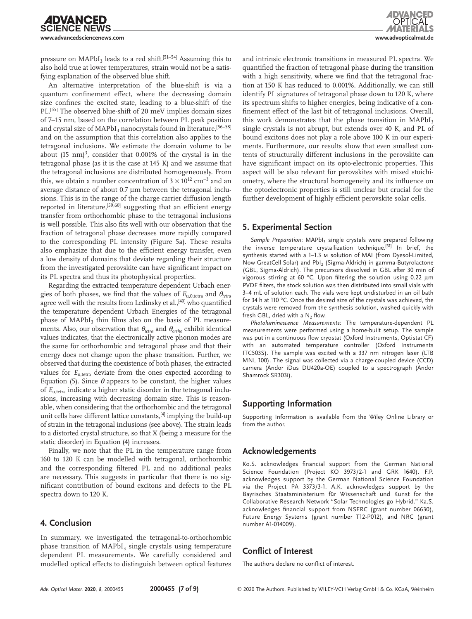pressure on  $MAPbI<sub>3</sub>$  leads to a red shift.<sup>[51–54]</sup> Assuming this to also hold true at lower temperatures, strain would not be a satisfying explanation of the observed blue shift.

An alternative interpretation of the blue-shift is via a quantum confinement effect, where the decreasing domain size confines the excited state, leading to a blue-shift of the PL.<sup>[55]</sup> The observed blue-shift of 20 meV implies domain sizes of 7–15 nm, based on the correlation between PL peak position and crystal size of MAPbI<sub>3</sub> nanocrystals found in literature,<sup>[56-58]</sup> and on the assumption that this correlation also applies to the tetragonal inclusions. We estimate the domain volume to be about  $(15 \text{ nm})^3$ , consider that 0.001% of the crystal is in the tetragonal phase (as it is the case at 145 K) and we assume that the tetragonal inclusions are distributed homogeneously. From this, we obtain a number concentration of  $3 \times 10^{12}$  cm<sup>-3</sup> and an average distance of about 0.7 µm between the tetragonal inclusions. This is in the range of the charge carrier diffusion length reported in literature,<sup>[59,60]</sup> suggesting that an efficient energy transfer from orthorhombic phase to the tetragonal inclusions is well possible. This also fits well with our observation that the fraction of tetragonal phase decreases more rapidly compared to the corresponding PL intensity (Figure 5a). These results also emphasize that due to the efficient energy transfer, even a low density of domains that deviate regarding their structure from the investigated perovskite can have significant impact on its PL spectra and thus its photophysical properties.

Regarding the extracted temperature dependent Urbach energies of both phases, we find that the values of  $E_{u,0,\text{tetra}}$  and  $\theta_{\text{tetra}}$ agree well with the results from Ledinsky et al.,<sup>[40]</sup> who quantified the temperature dependent Urbach Energies of the tetragonal phase of  $MAPbI<sub>3</sub>$  thin films also on the basis of PL measurements. Also, our observation that *θtetra* and *θortho* exhibit identical values indicates, that the electronically active phonon modes are the same for orthorhombic and tetragonal phase and that their energy does not change upon the phase transition. Further, we observed that during the coexistence of both phases, the extracted values for  $E_{u,\text{tetra}}$  deviate from the ones expected according to Equation (5). Since *θ* appears to be constant, the higher values of  $E_{u}$ <sub>tetra</sub> indicate a higher static disorder in the tetragonal inclusions, increasing with decreasing domain size. This is reasonable, when considering that the orthorhombic and the tetragonal unit cells have different lattice constants,<sup>[4]</sup> implying the build-up of strain in the tetragonal inclusions (see above). The strain leads to a distorted crystal structure, so that X (being a measure for the static disorder) in Equation (4) increases.

Finally, we note that the PL in the temperature range from 160 to 120 K can be modelled with tetragonal, orthorhombic and the corresponding filtered PL and no additional peaks are necessary. This suggests in particular that there is no significant contribution of bound excitons and defects to the PL spectra down to 120 K.

## **4. Conclusion**

In summary, we investigated the tetragonal-to-orthorhombic phase transition of  $MAPbI<sub>3</sub>$  single crystals using temperature dependent PL measurements. We carefully considered and modelled optical effects to distinguish between optical features and intrinsic electronic transitions in measured PL spectra. We quantified the fraction of tetragonal phase during the transition with a high sensitivity, where we find that the tetragonal fraction at 150 K has reduced to 0.001%. Additionally, we can still identify PL signatures of tetragonal phase down to 120 K, where its spectrum shifts to higher energies, being indicative of a confinement effect of the last bit of tetragonal inclusions. Overall, this work demonstrates that the phase transition in  $MAPbI<sub>3</sub>$ single crystals is not abrupt, but extends over 40 K, and PL of bound excitons does not play a role above 100 K in our experiments. Furthermore, our results show that even smallest contents of structurally different inclusions in the perovskite can have significant impact on its opto-electronic properties. This aspect will be also relevant for perovskites with mixed stoichiometry, where the structural homogeneity and its influence on the optoelectronic properties is still unclear but crucial for the further development of highly efficient perovskite solar cells.

## **5. Experimental Section**

Sample Preparation: MAPbI<sub>3</sub> single crystals were prepared following the inverse temperature crystallization technique.<sup>[61]</sup> In brief, the synthesis started with a 1–1.3 m solution of MAI (from Dyesol-Limited, Now GreatCell Solar) and PbI2 (Sigma-Aldrich) in gamma-Butyrolactone (GBL, Sigma-Aldrich). The precursors dissolved in GBL after 30 min of vigorous stirring at 60 °C. Upon filtering the solution using 0.22  $\mu$ m PVDF filters, the stock solution was then distributed into small vials with 3–4 mL of solution each. The vials were kept undisturbed in an oil bath for 34 h at 110 °C. Once the desired size of the crystals was achieved, the crystals were removed from the synthesis solution, washed quickly with fresh GBL, dried with a  $N_2$  flow.

*Photoluminescence Measurements*: The temperature-dependent PL measurements were performed using a home-built setup. The sample was put in a continuous flow cryostat (Oxford Instruments, Optistat CF) with an automated temperature controller (Oxford Instruments ITC503S). The sample was excited with a 337 nm nitrogen laser (LTB MNL 100). The signal was collected via a charge-coupled device (CCD) camera (Andor iDus DU420a-OE) coupled to a spectrograph (Andor Shamrock SR303i).

## **Supporting Information**

Supporting Information is available from the Wiley Online Library or from the author.

## **Acknowledgements**

Ko.S. acknowledges financial support from the German National Science Foundation (Project KO 3973/2-1 and GRK 1640). F.P. acknowledges support by the German National Science Foundation via the Project PA 3373/3-1. A.K. acknowledges support by the Bayrisches Staatsministerium für Wissenschaft und Kunst for the Collaborative Research Network "Solar Technologies go Hybrid." Ka.S. acknowledges financial support from NSERC (grant number 06630), Future Energy Systems (grant number T12-P012), and NRC (grant number A1-014009).

## **Conflict of Interest**

The authors declare no conflict of interest.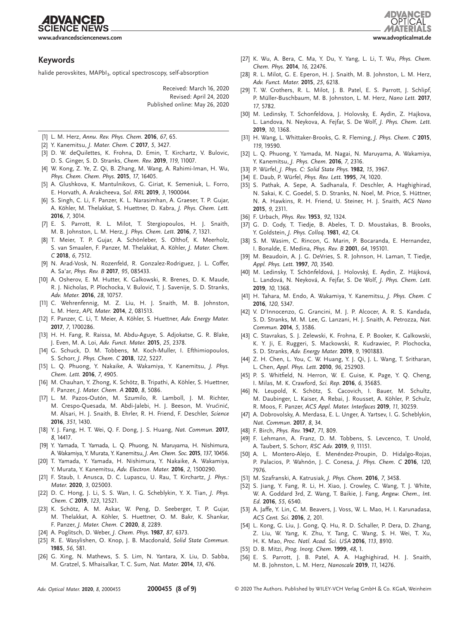**CIENCE NEWS www.advancedsciencenews.com www.advopticalmat.de**

**IDVANCED** 

#### **Keywords**

halide perovskites, MAPbI<sub>3</sub>, optical spectroscopy, self-absorption

Received: March 16, 2020 Revised: April 24, 2020 Published online: May 26, 2020

- [1] L. M. Herz, *Annu. Rev. Phys. Chem.* **2016**, *67*, 65.
- [2] Y. Kanemitsu, *J. Mater. Chem. C* **2017**, *5*, 3427.
- [3] D. W. deQuilettes, K. Frohna, D. Emin, T. Kirchartz, V. Bulovic, D. S. Ginger, S. D. Stranks, *Chem. Rev.* **2019**, *119*, 11007.
- [4] W. Kong, Z. Ye, Z. Qi, B. Zhang, M. Wang, A. Rahimi-Iman, H. Wu, *Phys. Chem. Chem. Phys.* **2015**, *17*, 16405.
- [5] A. Glushkova, K. Mantulnikovs, G. Giriat, K. Semeniuk, L. Forro, E. Horvath, A. Arakcheeva, *Sol. RRL* **2019**, *3*, 1900044.
- [6] S. Singh, C. Li, F. Panzer, K. L. Narasimhan, A. Graeser, T. P. Gujar, A. Köhler, M. Thelakkat, S. Huettner, D. Kabra, *J. Phys. Chem. Lett.* **2016**, *7*, 3014.
- [7] E. S. Parrott, R. L. Milot, T. Stergiopoulos, H. J. Snaith, M. B. Johnston, L. M. Herz, *J. Phys. Chem. Lett.* **2016**, *7*, 1321.
- [8] T. Meier, T. P. Gujar, A. Schönleber, S. Olthof, K. Meerholz, S. van Smaalen, F. Panzer, M. Thelakkat, A. Köhler, *J. Mater. Chem. C* **2018**, *6*, 7512.
- [9] N. Arad-Vosk, N. Rozenfeld, R. Gonzalez-Rodriguez, J. L. Coffer, A. Sa'ar, *Phys. Rev. B* **2017**, *95*, 085433.
- [10] A. Osherov, E. M. Hutter, K. Galkowski, R. Brenes, D. K. Maude, R. J. Nicholas, P. Plochocka, V. Bulović, T. J. Savenije, S. D. Stranks, *Adv. Mater.* **2016**, *28*, 10757.
- [11] C. Wehrenfennig, M. Z. Liu, H. J. Snaith, M. B. Johnston, L. M. Herz, *APL Mater.* **2014**, *2*, 081513.
- [12] F. Panzer, C. Li, T. Meier, A. Köhler, S. Huettner, *Adv. Energy Mater.* **2017**, *7*, 1700286.
- [13] H. H. Fang, R. Raissa, M. Abdu-Aguye, S. Adjokatse, G. R. Blake, J. Even, M. A. Loi, *Adv. Funct. Mater.* **2015**, *25*, 2378.
- [14] G. Schuck, D. M. Tobbens, M. Koch-Muller, I. Efthimiopoulos, S. Schorr, *J. Phys. Chem. C* **2018**, *122*, 5227.
- [15] L. Q. Phuong, Y. Nakaike, A. Wakamiya, Y. Kanemitsu, *J. Phys. Chem. Lett.* **2016**, *7*, 4905.
- [16] M. Chauhan, Y. Zhong, K. Schötz, B. Tripathi, A. Köhler, S. Huettner, F. Panzer, *J. Mater. Chem. A* **2020**, *8*, 5086.
- [17] L. M. Pazos-Outón, M. Szumilo, R. Lamboll, J. M. Richter, M. Crespo-Quesada, M. Abdi-Jalebi, H. J. Beeson, M. Vrućinić, M. Alsari, H. J. Snaith, B. Ehrler, R. H. Friend, F. Deschler, *Science* **2016**, *351*, 1430.
- [18] Y. J. Fang, H. T. Wei, Q. F. Dong, J. S. Huang, *Nat. Commun.* **2017**, *8*, 14417.
- [19] Y. Yamada, T. Yamada, L. Q. Phuong, N. Maruyama, H. Nishimura, A. Wakamiya, Y. Murata, Y. Kanemitsu, *J. Am. Chem. Soc.* **2015**, *137*, 10456.
- [20] T. Yamada, Y. Yamada, H. Nishimura, Y. Nakaike, A. Wakamiya, Y. Murata, Y. Kanemitsu, *Adv. Electron. Mater.* **2016**, *2*, 1500290.
- [21] F. Staub, I. Anusca, D. C. Lupascu, U. Rau, T. Kirchartz, *J. Phys.: Mater.* **2020**, *3*, 025003.
- [22] D. C. Hong, J. Li, S. S. Wan, I. G. Scheblykin, Y. X. Tian, *J. Phys. Chem. C* **2019**, *123*, 12521.
- [23] K. Schötz, A. M. Askar, W. Peng, D. Seeberger, T. P. Gujar, M. Thelakkat, A. Köhler, S. Huettner, O. M. Bakr, K. Shankar, F. Panzer, *J. Mater. Chem. C* **2020**, *8*, 2289.
- [24] A. Poglitsch, D. Weber, *J. Chem. Phys.* **1987**, *87*, 6373.
- [25] R. E. Wasylishen, O. Knop, J. B. Macdonald, *Solid State Commun.* **1985**, *56*, 581.
- [26] G. Xing, N. Mathews, S. S. Lim, N. Yantara, X. Liu, D. Sabba, M. Gratzel, S. Mhaisalkar, T. C. Sum, *Nat. Mater.* **2014**, *13*, 476.
- [27] K. Wu, A. Bera, C. Ma, Y. Du, Y. Yang, L. Li, T. Wu, *Phys. Chem. Chem. Phys.* **2014**, *16*, 22476.
- [28] R. L. Milot, G. E. Eperon, H. J. Snaith, M. B. Johnston, L. M. Herz, *Adv. Funct. Mater.* **2015**, *25*, 6218.
- [29] T. W. Crothers, R. L. Milot, J. B. Patel, E. S. Parrott, J. Schlipf, P. Müller-Buschbaum, M. B. Johnston, L. M. Herz, *Nano Lett.* **2017**, *17*, 5782.
- [30] M. Ledinsky, T. Schonfeldova, J. Holovsky, E. Aydin, Z. Hajkova, L. Landova, N. Neykova, A. Fejfar, S. De Wolf, *J. Phys. Chem. Lett.* **2019**, *10*, 1368.
- [31] H. Wang, L. Whittaker-Brooks, G. R. Fleming, *J. Phys. Chem. C* **2015**, *119*, 19590.
- [32] L. Q. Phuong, Y. Yamada, M. Nagai, N. Maruyama, A. Wakamiya, Y. Kanemitsu, *J. Phys. Chem.* **2016**, *7*, 2316.
- [33] P. Würfel, *J. Phys. C: Solid State Phys.* **1982**, *15*, 3967.
- [34] E. Daub, P. Würfel, *Phys. Rev. Lett.* **1995**, *74*, 1020.
- [35] S. Pathak, A. Sepe, A. Sadhanala, F. Deschler, A. Haghighirad, N. Sakai, K. C. Goedel, S. D. Stranks, N. Noel, M. Price, S. Hüttner, N. A. Hawkins, R. H. Friend, U. Steiner, H. J. Snaith, *ACS Nano* **2015**, *9*, 2311.
- [36] F. Urbach, *Phys. Rev.* **1953**, *92*, 1324.
- [37] G. D. Cody, T. Tiedje, B. Abeles, T. D. Moustakas, B. Brooks, Y. Goldstein, *J. Phys. Colloq.* **1981**, *42*, C4.
- [38] S. M. Wasim, C. Rincon, G. Marin, P. Bocaranda, E. Hernandez, I. Bonalde, E. Medina, *Phys. Rev. B* **2001**, *64*, 195101.
- [39] M. Beaudoin, A. J. G. DeVries, S. R. Johnson, H. Laman, T. Tiedje, *Appl. Phys. Lett.* **1997**, *70*, 3540.
- [40] M. Ledinsky, T. Schönfeldová, J. Holovský, E. Aydin, Z. Hájková, L. Landová, N. Neyková, A. Fejfar, S. De Wolf, *J. Phys. Chem. Lett.* **2019**, *10*, 1368.
- [41] H. Tahara, M. Endo, A. Wakamiya, Y. Kanemitsu, *J. Phys. Chem. C* **2016**, *120*, 5347.
- [42] V. D'Innocenzo, G. Grancini, M. J. P. Alcocer, A. R. S. Kandada, S. D. Stranks, M. M. Lee, G. Lanzani, H. J. Snaith, A. Petrozza, *Nat. Commun.* **2014**, *5*, 3586.
- [43] C. Stavrakas, S. J. Zelewski, K. Frohna, E. P. Booker, K. Galkowski, K. Y. Ji, E. Ruggeri, S. Mackowski, R. Kudrawiec, P. Plochocka, S. D. Stranks, *Adv. Energy Mater.* **2019**, *9*, 1901883.
- [44] Z. H. Chen, L. You, C. W. Huang, Y. J. Qi, J. L. Wang, T. Sritharan, L. Chen, *Appl. Phys. Lett.* **2010**, *96*, 252903.
- [45] P. S. Whitfield, N. Herron, W. E. Guise, K. Page, Y. Q. Cheng, I. Milas, M. K. Crawford, *Sci. Rep.* **2016**, *6*, 35685.
- [46] N. Leupold, K. Schötz, S. Cacovich, I. Bauer, M. Schultz, M. Daubinger, L. Kaiser, A. Rebai, J. Rousset, A. Köhler, P. Schulz, R. Moos, F. Panzer, *ACS Appl. Mater. Interfaces* **2019**, *11*, 30259.
- [47] A. Dobrovolsky, A. Merdasa, E. L. Unger, A. Yartsev, I. G. Scheblykin, *Nat. Commun.* **2017**, *8*, 34.
- [48] F. Birch, *Phys. Rev.* **1947**, *71*, 809.
- [49] F. Lehmann, A. Franz, D. M. Tobbens, S. Levcenco, T. Unold, A. Taubert, S. Schorr, *RSC Adv.* **2019**, *9*, 11151.
- [50] A. L. Montero-Alejo, E. Menéndez-Proupin, D. Hidalgo-Rojas, P. Palacios, P. Wahnón, J. C. Conesa, *J. Phys. Chem. C* **2016**, *120*, 7976.
- [51] M. Szafranski, A. Katrusiak, *J. Phys. Chem.* **2016**, *7*, 3458.
- [52] S. Jiang, Y. Fang, R. Li, H. Xiao, J. Crowley, C. Wang, T. J. White, W. A. Goddard 3rd, Z. Wang, T. Baikie, J. Fang, *Angew. Chem., Int. Ed.* **2016**, *55*, 6540.
- [53] A. Jaffe, Y. Lin, C. M. Beavers, J. Voss, W. L. Mao, H. I. Karunadasa, *ACS Cent. Sci.* **2016**, *2*, 201.
- [54] L. Kong, G. Liu, J. Gong, Q. Hu, R. D. Schaller, P. Dera, D. Zhang, Z. Liu, W. Yang, K. Zhu, Y. Tang, C. Wang, S. H. Wei, T. Xu, H. K. Mao, *Proc. Natl. Acad. Sci. USA* **2016**, *113*, 8910.
- [55] D. B. Mitzi, *Prog. Inorg. Chem.* **1999**, *48*, 1.
- [56] E. S. Parrott, J. B. Patel, A. A. Haghighirad, H. J. Snaith, M. B. Johnston, L. M. Herz, *Nanoscale* **2019**, *11*, 14276.